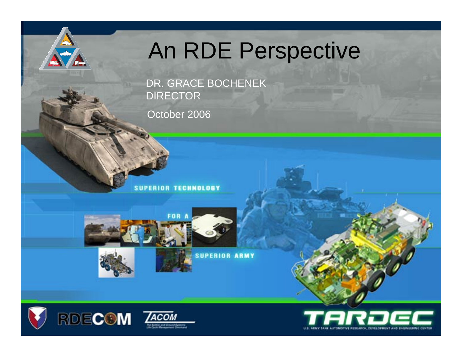## An RDE Perspective

DR. GRACE BOCHENEK DIRECTOR

October 2006

**SUPERIOR TECHNOLOGY** 



**SUPERIOR ARMY** 





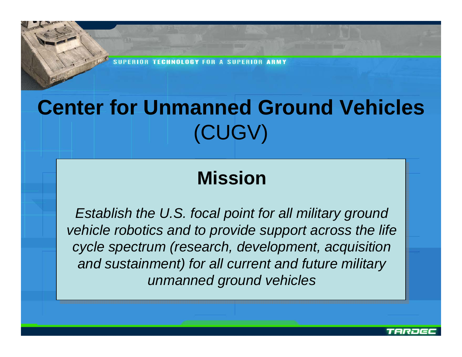**SHPFR** 

## **Center for Unmanned Ground Vehicles**  (CUGV)

## **Mission**

*Establish the U.S. focal point for all military ground vehicle robotics and to provide support across the life cycle spectrum (research, development, acquisition and sustainment) for all current and future military unmanned ground vehicles*